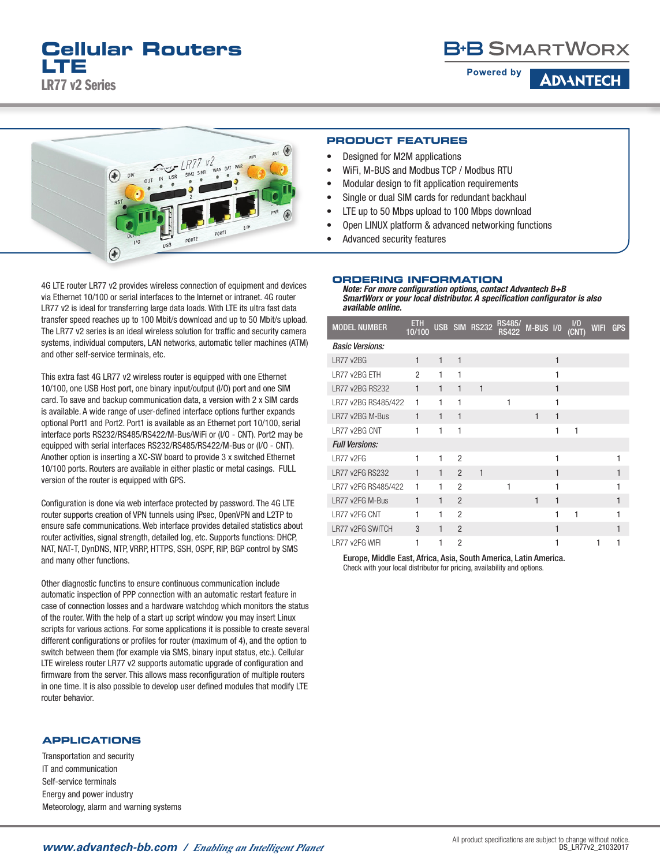via Ethernet 10/100 or serial interfaces to the Internet or intranet. 4G router LR77 v2 is ideal for transferring large data loads. With LTE its ultra fast data transfer speed reaches up to 100 Mbit/s download and up to 50 Mbit/s upload. The LR77 v2 series is an ideal wireless solution for traffic and security camera systems, individual computers, LAN networks, automatic teller machines (ATM) and other self-service terminals, etc. This extra fast 4G LR77 v2 wireless router is equipped with one Ethernet 10/100, one USB Host port, one binary input/output (I/O) port and one SIM

4G LTE router LR77 v2 provides wireless connection of equipment and devices

⊕

port

**Cellular Routers**

**LTE**

LR77 v2 Series

card. To save and backup communication data, a version with 2 x SIM cards is available. A wide range of user-defined interface options further expands optional Port1 and Port2. Port1 is available as an Ethernet port 10/100, serial interface ports RS232/RS485/RS422/M-Bus/WiFi or (I/O - CNT). Port2 may be equipped with serial interfaces RS232/RS485/RS422/M-Bus or (I/O - CNT). Another option is inserting a XC-SW board to provide 3 x switched Ethernet 10/100 ports. Routers are available in either plastic or metal casings. FULL version of the router is equipped with GPS.

Configuration is done via web interface protected by password. The 4G LTE router supports creation of VPN tunnels using IPsec, OpenVPN and L2TP to ensure safe communications. Web interface provides detailed statistics about router activities, signal strength, detailed log, etc. Supports functions: DHCP, NAT, NAT-T, DynDNS, NTP, VRRP, HTTPS, SSH, OSPF, RIP, BGP control by SMS and many other functions.

Other diagnostic functins to ensure continuous communication include automatic inspection of PPP connection with an automatic restart feature in case of connection losses and a hardware watchdog which monitors the status of the router. With the help of a start up script window you may insert Linux scripts for various actions. For some applications it is possible to create several different configurations or profiles for router (maximum of 4), and the option to switch between them (for example via SMS, binary input status, etc.). Cellular LTE wireless router LR77 v2 supports automatic upgrade of configuration and firmware from the server. This allows mass reconfiguration of multiple routers in one time. It is also possible to develop user defined modules that modify LTE router behavior.

## **APPLICATIONS**

Transportation and security IT and communication Self-service terminals Energy and power industry Meteorology, alarm and warning systems

## **PRODUCT FEATURES**

• Designed for M2M applications

(∔

- WiFi, M-BUS and Modbus TCP / Modbus RTU
- Modular design to fit application requirements
- Single or dual SIM cards for redundant backhaul
- LTE up to 50 Mbps upload to 100 Mbps download
- Open LINUX platform & advanced networking functions
- Advanced security features

### **ORDERING INFORMATION**

*Note: For more configuration options, contact Advantech B+B SmartWorx or your local distributor. A specification configurator is also available online.*

| <b>MODEL NUMBER</b>    | <b>ETH</b><br>10/100 |              |                | USB SIM RS232 | <b>RS485/</b><br><b>RS422</b> | $M-BUS$ $1/0$ |              | $1/0$<br>(CNT) | WIFI GPS |   |
|------------------------|----------------------|--------------|----------------|---------------|-------------------------------|---------------|--------------|----------------|----------|---|
| <b>Basic Versions:</b> |                      |              |                |               |                               |               |              |                |          |   |
| LR77 v2BG              | $\mathbf{1}$         | $\mathbf{1}$ | 1              |               |                               |               | 1            |                |          |   |
| LR77 v2BG ETH          | 2                    | 1            | 1              |               |                               |               | 1            |                |          |   |
| LR77 v2BG RS232        | $\mathbf{1}$         | $\mathbf{1}$ | $\mathbf{1}$   | $\mathbf{1}$  |                               |               | 1            |                |          |   |
| LR77 v2BG RS485/422    | 1                    | 1            | 1              |               | 1                             |               | 1            |                |          |   |
| LR77 v2BG M-Bus        | $\mathbf{1}$         | $\mathbf{1}$ | 1              |               |                               | $\mathbf{1}$  | 1            |                |          |   |
| LR77 v2BG CNT          | 1                    | 1            | 1              |               |                               |               | 1            | 1              |          |   |
| <b>Full Versions:</b>  |                      |              |                |               |                               |               |              |                |          |   |
| LR77 v2FG              | 1                    | 1            | $\overline{2}$ |               |                               |               | 1            |                |          | 1 |
| <b>LR77 v2FG RS232</b> | $\mathbf{1}$         | $\mathbf{1}$ | $\mathfrak{p}$ | $\mathbf{1}$  |                               |               | $\mathbf{1}$ |                |          | 1 |
| LR77 v2FG RS485/422    | 1                    | 1            | $\overline{2}$ |               | 1                             |               | 1            |                |          | 1 |
| LR77 v2FG M-Bus        | $\mathbf{1}$         | $\mathbf{1}$ | $\mathfrak{p}$ |               |                               | $\mathbf{1}$  | 1            |                |          | 1 |
| LR77 v2FG CNT          | 1                    | 1            | $\overline{2}$ |               |                               |               | 1            | 1              |          |   |
| LR77 v2FG SWITCH       | 3                    | 1            | $\overline{2}$ |               |                               |               | 1            |                |          | 1 |
| LR77 v2FG WIFI         | 1                    | 1            | $\overline{2}$ |               |                               |               | 1            |                | 1        |   |

Europe, Middle East, Africa, Asia, South America, Latin America. Check with your local distributor for pricing, availability and options.



All product specifications are subject to change without notice.



**ADVANTECH** 

**Powered by**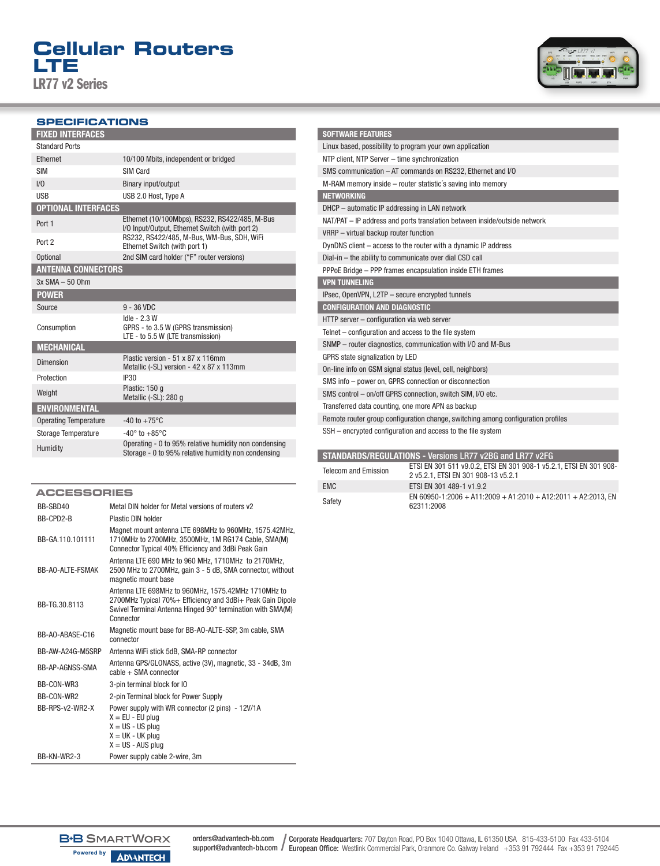# **Cellular Routers LTE** LR77 v2 Series



#### **SPECIFICATIONS**

| <b>FIXED INTERFACES</b>      |                                                                                                              |
|------------------------------|--------------------------------------------------------------------------------------------------------------|
| <b>Standard Ports</b>        |                                                                                                              |
| Ethernet                     | 10/100 Mbits, independent or bridged                                                                         |
| <b>SIM</b>                   | SIM Card                                                                                                     |
| 1/0                          | Binary input/output                                                                                          |
| <b>USB</b>                   | USB 2.0 Host, Type A                                                                                         |
| <b>OPTIONAL INTERFACES</b>   |                                                                                                              |
| Port 1                       | Ethernet (10/100Mbps), RS232, RS422/485, M-Bus<br>I/O Input/Output, Ethernet Switch (with port 2)            |
| Port 2                       | RS232, RS422/485, M-Bus, WM-Bus, SDH, WiFi<br>Ethernet Switch (with port 1)                                  |
| <b>Optional</b>              | 2nd SIM card holder ("F" router versions)                                                                    |
| <b>ANTENNA CONNECTORS</b>    |                                                                                                              |
| $3x$ SMA $-50$ Ohm           |                                                                                                              |
| <b>POWER</b>                 |                                                                                                              |
| Source                       | $9 - 36$ VDC                                                                                                 |
| Consumption                  | Idle - $2.3 W$<br>GPRS - to 3.5 W (GPRS transmission)<br>LTE - to 5.5 W (LTE transmission)                   |
| <b>MECHANICAL</b>            |                                                                                                              |
| Dimension                    | Plastic version - 51 x 87 x 116mm<br>Metallic (-SL) version - 42 x 87 x 113mm                                |
| Protection                   | IP30                                                                                                         |
| Weight                       | Plastic: 150 g<br>Metallic (-SL): 280 q                                                                      |
| <b>ENVIRONMENTAL</b>         |                                                                                                              |
| <b>Operating Temperature</b> | $-40$ to $+75^{\circ}$ C                                                                                     |
| <b>Storage Temperature</b>   | $-40^\circ$ to $+85^\circ$ C                                                                                 |
| Humidity                     | Operating - 0 to 95% relative humidity non condensing<br>Storage - 0 to 95% relative humidity non condensing |

#### **ACCESSORIES**

| BB-SBD40                | Metal DIN holder for Metal versions of routers v2                                                                                                                                            |
|-------------------------|----------------------------------------------------------------------------------------------------------------------------------------------------------------------------------------------|
| BB-CPD2-B               | Plastic DIN holder                                                                                                                                                                           |
| BB-GA.110.101111        | Magnet mount antenna LTE 698MHz to 960MHz, 1575.42MHz,<br>1710MHz to 2700MHz, 3500MHz, 1M RG174 Cable, SMA(M)<br>Connector Typical 40% Efficiency and 3dBi Peak Gain                         |
| <b>BB-AO-ALTE-FSMAK</b> | Antenna LTE 690 MHz to 960 MHz, 1710MHz to 2170MHz,<br>2500 MHz to 2700MHz, gain 3 - 5 dB, SMA connector, without<br>magnetic mount base                                                     |
| BB-TG.30.8113           | Antenna LTE 698MHz to 960MHz, 1575.42MHz 1710MHz to<br>2700MHz Typical 70%+ Efficiency and 3dBi+ Peak Gain Dipole<br>Swivel Terminal Antenna Hinged 90° termination with SMA(M)<br>Connector |
| BB-AQ-ABASE-C16         | Magnetic mount base for BB-AO-ALTE-5SP, 3m cable, SMA<br>connector                                                                                                                           |
| BB-AW-A24G-M5SRP        | Antenna WiFi stick 5dB, SMA-RP connector                                                                                                                                                     |
| BB-AP-AGNSS-SMA         | Antenna GPS/GLONASS, active (3V), magnetic, 33 - 34dB, 3m<br>$cable + SMA connector$                                                                                                         |
| BB-CON-WR3              | 3-pin terminal block for IO                                                                                                                                                                  |
| BB-CON-WR2              | 2-pin Terminal block for Power Supply                                                                                                                                                        |
| BB-RPS-v2-WR2-X         | Power supply with WR connector (2 pins) - 12V/1A<br>$X = EU - EU$ plug<br>$X = US - US plug$<br>$X = UK - UK$ plug<br>$X = US - AUS$ plug                                                    |
| BB-KN-WR2-3             | Power supply cable 2-wire, 3m                                                                                                                                                                |

| <b>SOFTWARE FEATURES</b>                                                         |
|----------------------------------------------------------------------------------|
| Linux based, possibility to program your own application                         |
| NTP client, NTP Server - time synchronization                                    |
| SMS communication - AT commands on RS232, Ethernet and I/O                       |
| M-RAM memory inside – router statistic's saving into memory                      |
| <b>NETWORKING</b>                                                                |
| DHCP - automatic IP addressing in LAN network                                    |
| NAT/PAT - IP address and ports translation between inside/outside network        |
| VRRP - virtual backup router function                                            |
| DynDNS client – access to the router with a dynamic IP address                   |
| Dial-in - the ability to communicate over dial CSD call                          |
| PPPoE Bridge - PPP frames encapsulation inside ETH frames                        |
| <b>VPN TUNNELING</b>                                                             |
| IPsec, OpenVPN, L2TP - secure encrypted tunnels                                  |
| <b>CONFIGURATION AND DIAGNOSTIC</b>                                              |
| HTTP server - configuration via web server                                       |
| Telnet - configuration and access to the file system                             |
| SNMP - router diagnostics, communication with I/O and M-Bus                      |
| GPRS state signalization by LED                                                  |
| On-line info on GSM signal status (level, cell, neighbors)                       |
| SMS info - power on, GPRS connection or disconnection                            |
| SMS control - on/off GPRS connection, switch SIM, I/O etc.                       |
| Transferred data counting, one more APN as backup                                |
| Remote router group configuration change, switching among configuration profiles |
| SSH - encrypted configuration and access to the file system                      |

#### STANDARDS/REGULATIONS - Versions LR77 v2BG and LR77 v2FG

|                             | <u>VIANDANUVVINEMUERINUNU VULUUNE EN I VEDU MIN EN I VELVI</u>                                            |
|-----------------------------|-----------------------------------------------------------------------------------------------------------|
| <b>Telecom and Emission</b> | ETSI EN 301 511 v9.0.2, ETSI EN 301 908-1 v5.2.1, ETSI EN 301 908-<br>2 v5.2.1. ETSI EN 301 908-13 v5.2.1 |
| <b>EMC</b>                  | ETSI EN 301 489-1 v1.9.2                                                                                  |
| Safety                      | EN 60950-1:2006 + A11:2009 + A1:2010 + A12:2011 + A2:2013. EN<br>62311:2008                               |